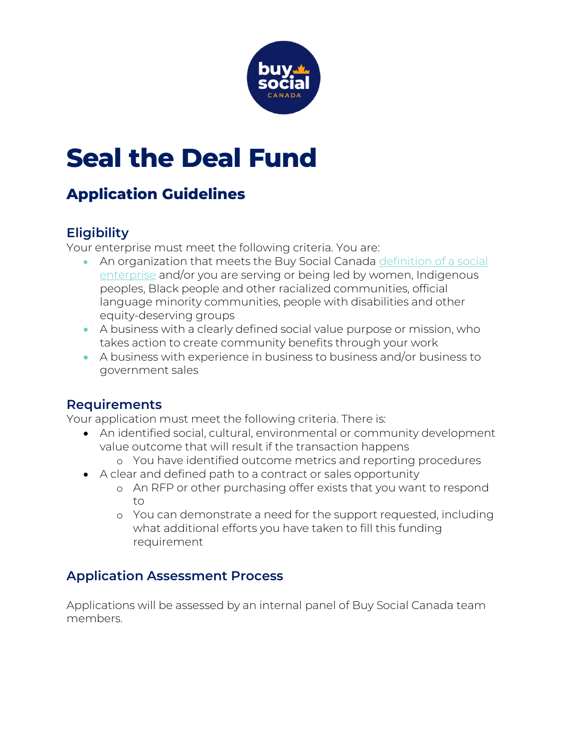

# **Seal the Deal Fund**

## **Application Guidelines**

#### **Eligibility**

Your enterprise must meet the following criteria. You are:

- An organization that meets the Buy Social Canada [definition of a social](https://www.buysocialcanada.com/learn/what-is-social-enterprise/)  [enterprise](https://www.buysocialcanada.com/learn/what-is-social-enterprise/) and/or you are serving or being led by women, Indigenous peoples, Black people and other racialized communities, official language minority communities, people with disabilities and other equity-deserving groups
- A business with a clearly defined social value purpose or mission, who takes action to create community benefits through your work
- A business with experience in business to business and/or business to government sales

#### **Requirements**

Your application must meet the following criteria. There is:

- An identified social, cultural, environmental or community development value outcome that will result if the transaction happens
	- o You have identified outcome metrics and reporting procedures
- A clear and defined path to a contract or sales opportunity
	- o An RFP or other purchasing offer exists that you want to respond to
	- o You can demonstrate a need for the support requested, including what additional efforts you have taken to fill this funding requirement

### **Application Assessment Process**

Applications will be assessed by an internal panel of Buy Social Canada team members.